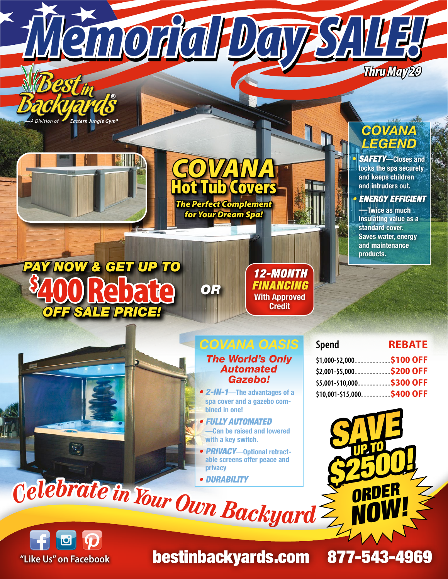

**"Like Us" on Facebook** bestinbackyards.com 877-543-4969